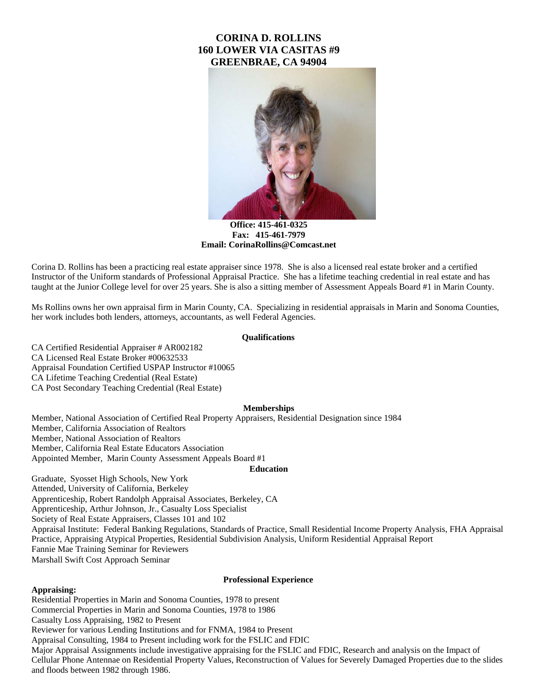# **CORINA D. ROLLINS 160 LOWER VIA CASITAS #9 GREENBRAE, CA 94904**



**Office: 415-461-0325 Fax: 415-461-7979 Email: CorinaRollins@Comcast.net**

Corina D. Rollins has been a practicing real estate appraiser since 1978. She is also a licensed real estate broker and a certified Instructor of the Uniform standards of Professional Appraisal Practice. She has a lifetime teaching credential in real estate and has taught at the Junior College level for over 25 years. She is also a sitting member of Assessment Appeals Board #1 in Marin County.

Ms Rollins owns her own appraisal firm in Marin County, CA. Specializing in residential appraisals in Marin and Sonoma Counties, her work includes both lenders, attorneys, accountants, as well Federal Agencies.

# **Qualifications**

CA Certified Residential Appraiser # AR002182 CA Licensed Real Estate Broker #00632533 Appraisal Foundation Certified USPAP Instructor #10065 CA Lifetime Teaching Credential (Real Estate) CA Post Secondary Teaching Credential (Real Estate)

#### **Memberships**

Member, National Association of Certified Real Property Appraisers, Residential Designation since 1984 Member, California Association of Realtors Member, National Association of Realtors Member, California Real Estate Educators Association Appointed Member, Marin County Assessment Appeals Board #1

# **Education**

Graduate, Syosset High Schools, New York Attended, University of California, Berkeley Apprenticeship, Robert Randolph Appraisal Associates, Berkeley, CA Apprenticeship, Arthur Johnson, Jr., Casualty Loss Specialist Society of Real Estate Appraisers, Classes 101 and 102 Appraisal Institute: Federal Banking Regulations, Standards of Practice, Small Residential Income Property Analysis, FHA Appraisal Practice, Appraising Atypical Properties, Residential Subdivision Analysis, Uniform Residential Appraisal Report Fannie Mae Training Seminar for Reviewers Marshall Swift Cost Approach Seminar

#### **Professional Experience**

#### **Appraising:**

Residential Properties in Marin and Sonoma Counties, 1978 to present Commercial Properties in Marin and Sonoma Counties, 1978 to 1986 Casualty Loss Appraising, 1982 to Present Reviewer for various Lending Institutions and for FNMA, 1984 to Present Appraisal Consulting, 1984 to Present including work for the FSLIC and FDIC Major Appraisal Assignments include investigative appraising for the FSLIC and FDIC, Research and analysis on the Impact of Cellular Phone Antennae on Residential Property Values, Reconstruction of Values for Severely Damaged Properties due to the slides and floods between 1982 through 1986.